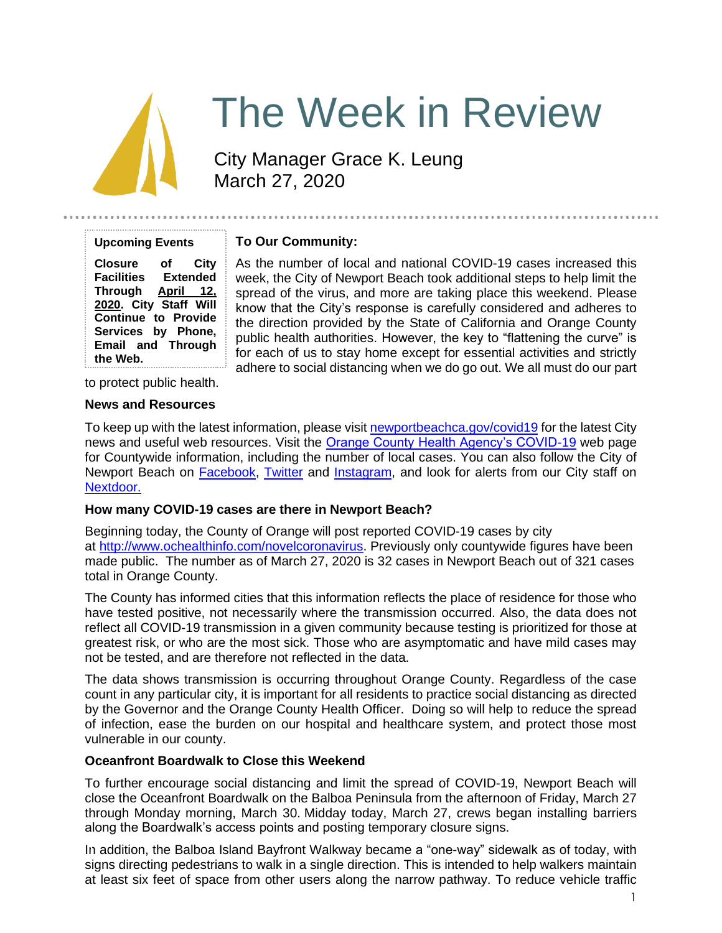

# The Week in Review

City Manager Grace K. Leung March 27, 2020

| <b>Upcoming Events</b>     |                 |
|----------------------------|-----------------|
| <b>Closure</b>             | of City         |
| <b>Facilities</b>          | <b>Extended</b> |
| Through April 12,          |                 |
| 2020. City Staff Will      |                 |
| <b>Continue to Provide</b> |                 |
| Services by Phone,         |                 |
| <b>Email and Through</b>   |                 |
| the Web.                   |                 |

## **To Our Community:**

As the number of local and national COVID-19 cases increased this week, the City of Newport Beach took additional steps to help limit the spread of the virus, and more are taking place this weekend. Please know that the City's response is carefully considered and adheres to the direction provided by the State of California and Orange County public health authorities. However, the key to "flattening the curve" is for each of us to stay home except for essential activities and strictly adhere to social distancing when we do go out. We all must do our part

to protect public health.

#### **News and Resources**

To keep up with the latest information, please visit [newportbeachca.gov/covid19](https://www.newportbeachca.gov/how-do-i/find/disaster-preparedness-information/disease-outbreak/-fsiteid-1) for the latest City news and useful web resources. Visit the [Orange County Health Agency's COVID-19](https://www.ochealthinfo.com/phs/about/epidasmt/epi/dip/prevention/novel_coronavirus) web page for Countywide information, including the number of local cases. You can also follow the City of Newport Beach on **Facebook**, [Twitter](https://twitter.com/newportbeachgov) and [Instagram,](https://www.instagram.com/cityofnewportbeach/) and look for alerts from our City staff on [Nextdoor.](https://nextdoor.com/agency/city-of-newport-beach/?i=ltdytbjdbdkntfqttgcm)

## **How many COVID-19 cases are there in Newport Beach?**

Beginning today, the County of Orange will post reported COVID-19 cases by city at [http://www.ochealthinfo.com/novelcoronavirus.](http://www.ochealthinfo.com/novelcoronavirus) Previously only countywide figures have been made public. The number as of March 27, 2020 is 32 cases in Newport Beach out of 321 cases total in Orange County.

The County has informed cities that this information reflects the place of residence for those who have tested positive, not necessarily where the transmission occurred. Also, the data does not reflect all COVID-19 transmission in a given community because testing is prioritized for those at greatest risk, or who are the most sick. Those who are asymptomatic and have mild cases may not be tested, and are therefore not reflected in the data.

The data shows transmission is occurring throughout Orange County. Regardless of the case count in any particular city, it is important for all residents to practice social distancing as directed by the Governor and the Orange County Health Officer. Doing so will help to reduce the spread of infection, ease the burden on our hospital and healthcare system, and protect those most vulnerable in our county.

## **Oceanfront Boardwalk to Close this Weekend**

To further encourage social distancing and limit the spread of COVID-19, Newport Beach will close the Oceanfront Boardwalk on the Balboa Peninsula from the afternoon of Friday, March 27 through Monday morning, March 30. Midday today, March 27, crews began installing barriers along the Boardwalk's access points and posting temporary closure signs.

In addition, the Balboa Island Bayfront Walkway became a "one-way" sidewalk as of today, with signs directing pedestrians to walk in a single direction. This is intended to help walkers maintain at least six feet of space from other users along the narrow pathway. To reduce vehicle traffic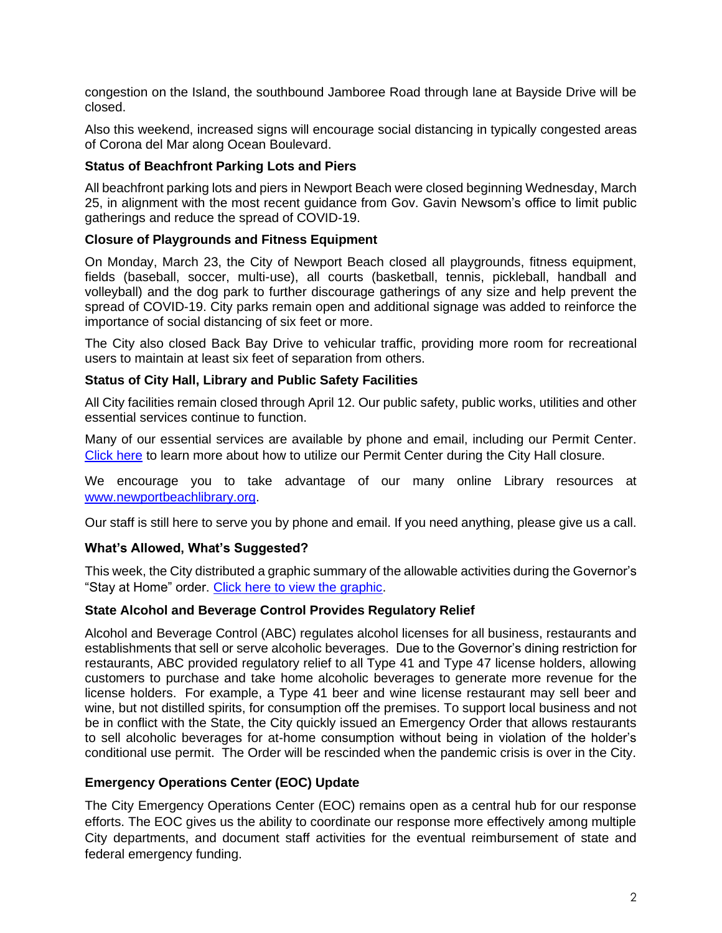congestion on the Island, the southbound Jamboree Road through lane at Bayside Drive will be closed.

Also this weekend, increased signs will encourage social distancing in typically congested areas of Corona del Mar along Ocean Boulevard.

## **Status of Beachfront Parking Lots and Piers**

All beachfront parking lots and piers in Newport Beach were closed beginning Wednesday, March 25, in alignment with the most recent guidance from Gov. Gavin Newsom's office to limit public gatherings and reduce the spread of COVID-19.

## **Closure of Playgrounds and Fitness Equipment**

On Monday, March 23, the City of Newport Beach closed all playgrounds, fitness equipment, fields (baseball, soccer, multi-use), all courts (basketball, tennis, pickleball, handball and volleyball) and the dog park to further discourage gatherings of any size and help prevent the spread of COVID-19. City parks remain open and additional signage was added to reinforce the importance of social distancing of six feet or more.

The City also closed Back Bay Drive to vehicular traffic, providing more room for recreational users to maintain at least six feet of separation from others.

## **Status of City Hall, Library and Public Safety Facilities**

All City facilities remain closed through April 12. Our public safety, public works, utilities and other essential services continue to function.

Many of our essential services are available by phone and email, including our Permit Center. [Click here](https://www.newportbeachca.gov/government/departments/community-development/online-submittal-alternatives) to learn more about how to utilize our Permit Center during the City Hall closure.

We encourage you to take advantage of our many online Library resources at [www.newportbeachlibrary.org.](http://www.newportbeachlibrary.org/)

Our staff is still here to serve you by phone and email. If you need anything, please give us a call.

## **What's Allowed, What's Suggested?**

This week, the City distributed a graphic summary of the allowable activities during the Governor's "Stay at Home" order. [Click here to view the graphic.](https://www.newportbeachca.gov/Home/ShowImage?id=51025&t=637208285551457698)

#### **State Alcohol and Beverage Control Provides Regulatory Relief**

Alcohol and Beverage Control (ABC) regulates alcohol licenses for all business, restaurants and establishments that sell or serve alcoholic beverages. Due to the Governor's dining restriction for restaurants, ABC provided regulatory relief to all Type 41 and Type 47 license holders, allowing customers to purchase and take home alcoholic beverages to generate more revenue for the license holders. For example, a Type 41 beer and wine license restaurant may sell beer and wine, but not distilled spirits, for consumption off the premises. To support local business and not be in conflict with the State, the City quickly issued an Emergency Order that allows restaurants to sell alcoholic beverages for at-home consumption without being in violation of the holder's conditional use permit. The Order will be rescinded when the pandemic crisis is over in the City.

## **Emergency Operations Center (EOC) Update**

The City Emergency Operations Center (EOC) remains open as a central hub for our response efforts. The EOC gives us the ability to coordinate our response more effectively among multiple City departments, and document staff activities for the eventual reimbursement of state and federal emergency funding.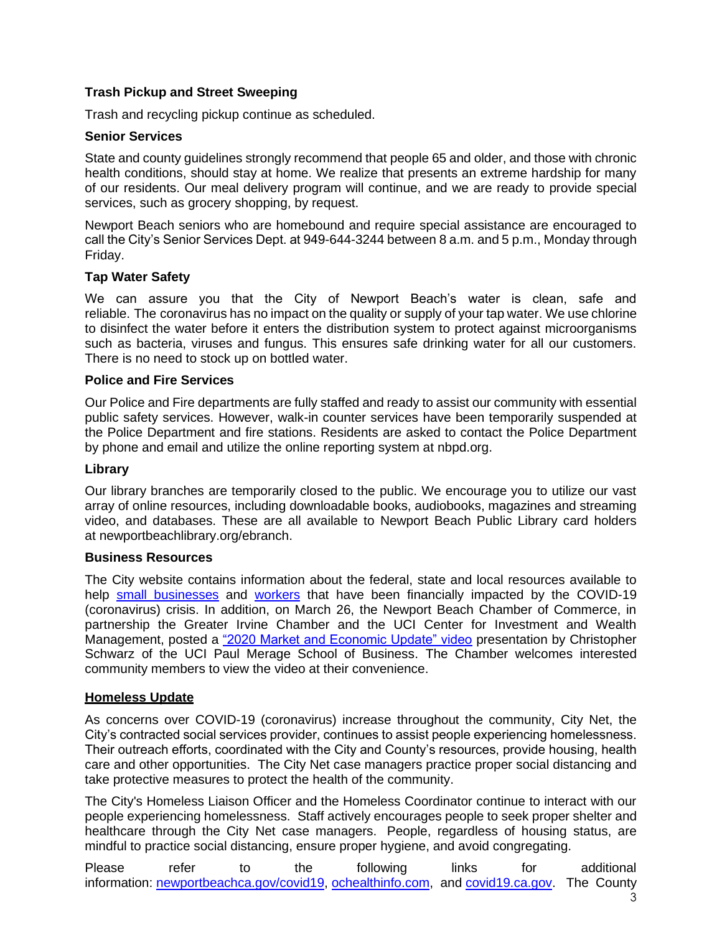## **Trash Pickup and Street Sweeping**

Trash and recycling pickup continue as scheduled.

#### **Senior Services**

State and county guidelines strongly recommend that people 65 and older, and those with chronic health conditions, should stay at home. We realize that presents an extreme hardship for many of our residents. Our meal delivery program will continue, and we are ready to provide special services, such as grocery shopping, by request.

Newport Beach seniors who are homebound and require special assistance are encouraged to call the City's Senior Services Dept. at 949-644-3244 between 8 a.m. and 5 p.m., Monday through Friday.

## **Tap Water Safety**

We can assure you that the City of Newport Beach's water is clean, safe and reliable. The coronavirus has no impact on the quality or supply of your tap water. We use chlorine to disinfect the water before it enters the distribution system to protect against microorganisms such as bacteria, viruses and fungus. This ensures safe drinking water for all our customers. There is no need to stock up on bottled water.

## **Police and Fire Services**

Our Police and Fire departments are fully staffed and ready to assist our community with essential public safety services. However, walk-in counter services have been temporarily suspended at the Police Department and fire stations. Residents are asked to contact the Police Department by phone and email and utilize the online reporting system at [nbpd.org.](http://www.nbpd.org/)

#### **Library**

Our library branches are temporarily closed to the public. We encourage you to utilize our vast array of online resources, including downloadable books, audiobooks, magazines and streaming video, and databases. These are all available to Newport Beach Public Library card holders at [newportbeachlibrary.org/ebranch.](https://www.newportbeachlibrary.org/ebranch)

#### **Business Resources**

The City website contains information about the federal, state and local resources available to help [small businesses](https://www.newportbeachca.gov/government/departments/city-manager/economic-development/small-business-support) and [workers](https://www.newportbeachca.gov/government/departments/city-manager/economic-development/support-for-employees) that have been financially impacted by the COVID-19 (coronavirus) crisis. In addition, on March 26, the Newport Beach Chamber of Commerce, in partnership the Greater Irvine Chamber and the UCI Center for Investment and Wealth Management, posted a ["2020 Market and Economic Update" video](https://youtu.be/Yn7BAUXHlyU) presentation by Christopher Schwarz of the UCI Paul Merage School of Business. The Chamber welcomes interested community members to view the video at their convenience.

#### **Homeless Update**

As concerns over COVID-19 (coronavirus) increase throughout the community, City Net, the City's contracted social services provider, continues to assist people experiencing homelessness. Their outreach efforts, coordinated with the City and County's resources, provide housing, health care and other opportunities. The City Net case managers practice proper social distancing and take protective measures to protect the health of the community.

The City's Homeless Liaison Officer and the Homeless Coordinator continue to interact with our people experiencing homelessness. Staff actively encourages people to seek proper shelter and healthcare through the City Net case managers. People, regardless of housing status, are mindful to practice social distancing, ensure proper hygiene, and avoid congregating.

Please refer to the following links for additional information: [newportbeachca.gov/covid19,](http://newportbeachca.gov/covid19) [ochealthinfo.com,](http://ochealthinfo.com/) and [covid19.ca.gov.](http://covid19.ca.gov/) The County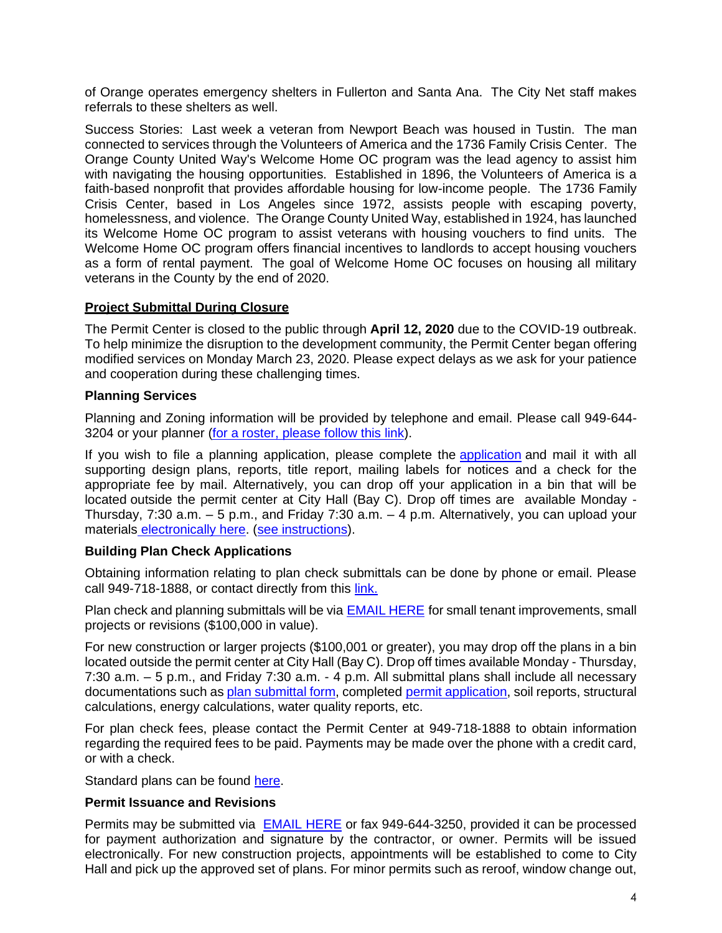of Orange operates emergency shelters in Fullerton and Santa Ana. The City Net staff makes referrals to these shelters as well.

Success Stories: Last week a veteran from Newport Beach was housed in Tustin. The man connected to services through the Volunteers of America and the 1736 Family Crisis Center. The Orange County United Way's Welcome Home OC program was the lead agency to assist him with navigating the housing opportunities. Established in 1896, the Volunteers of America is a faith-based nonprofit that provides affordable housing for low-income people. The 1736 Family Crisis Center, based in Los Angeles since 1972, assists people with escaping poverty, homelessness, and violence. The Orange County United Way, established in 1924, has launched its Welcome Home OC program to assist veterans with housing vouchers to find units. The Welcome Home OC program offers financial incentives to landlords to accept housing vouchers as a form of rental payment. The goal of Welcome Home OC focuses on housing all military veterans in the County by the end of 2020.

## **Project Submittal During Closure**

The Permit Center is closed to the public through **April 12, 2020** due to the COVID-19 outbreak. To help minimize the disruption to the development community, the Permit Center began offering modified services on Monday March 23, 2020. Please expect delays as we ask for your patience and cooperation during these challenging times.

## **Planning Services**

Planning and Zoning information will be provided by telephone and email. Please call 949-644- 3204 or your planner [\(for a roster, please follow this link\)](https://www.newportbeachca.gov/government/departments/community-development/planning-division/operational-hours-staff#B4).

If you wish to file a planning application, please complete the [application](https://www.newportbeachca.gov/government/departments/community-development/planning-division/applications-forms-and-fees) and mail it with all supporting design plans, reports, title report, mailing labels for notices and a check for the appropriate fee by mail. Alternatively, you can drop off your application in a bin that will be located outside the permit center at City Hall (Bay C). Drop off times are available Monday - Thursday, 7:30 a.m. – 5 p.m., and Friday 7:30 a.m. – 4 p.m. Alternatively, you can upload your materials [electronically here.](https://apps.newportbeachca.gov/upload/) [\(see instructions\)](https://www.newportbeachca.gov/home/showdocument?id=66521).

## **Building Plan Check Applications**

Obtaining information relating to plan check submittals can be done by phone or email. Please call 949-718-1888, or contact directly from this [link.](https://www.newportbeachca.gov/government/departments/community-development/operational-hours-staff#B1)

Plan check and planning submittals will be via [EMAIL HERE](mailto:smccourt@newportbeachca.gov?subject=NB%20Permit%20Application) for small tenant improvements, small projects or revisions (\$100,000 in value).

For new construction or larger projects (\$100,001 or greater), you may drop off the plans in a bin located outside the permit center at City Hall (Bay C). Drop off times available Monday - Thursday, 7:30 a.m. – 5 p.m., and Friday 7:30 a.m. - 4 p.m. All submittal plans shall include all necessary documentations such as [plan submittal form,](https://www.newportbeachca.gov/home/showdocument?id=66528) completed [permit application,](https://www.newportbeachca.gov/home/showdocument?id=15043) soil reports, structural calculations, energy calculations, water quality reports, etc.

For plan check fees, please contact the Permit Center at 949-718-1888 to obtain information regarding the required fees to be paid. Payments may be made over the phone with a credit card, or with a check.

Standard plans can be found [here.](https://www.newportbeachca.gov/government/departments/community-development/building-division/forms-handouts/standard-plans)

#### **Permit Issuance and Revisions**

Permits may be submitted via [EMAIL HERE](mailto:Smccourt@newportbeachca.gov?subject=NB%20Plan%20Submittal) or fax 949-644-3250, provided it can be processed for payment authorization and signature by the contractor, or owner. Permits will be issued electronically. For new construction projects, appointments will be established to come to City Hall and pick up the approved set of plans. For minor permits such as reroof, window change out,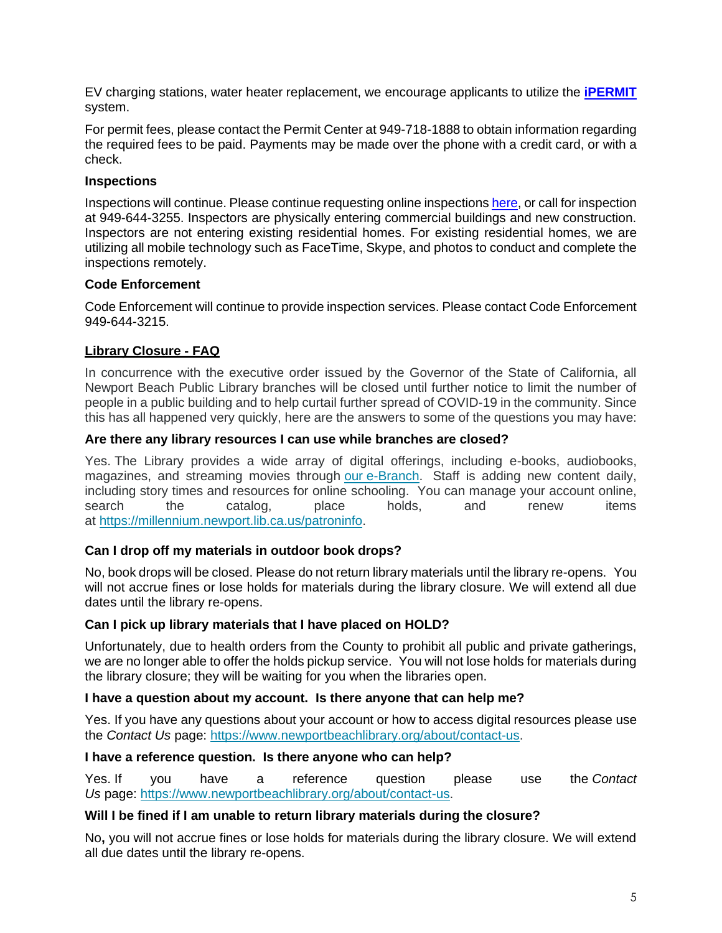EV charging stations, water heater replacement, we encourage applicants to utilize the **[iPERMIT](https://www.newportbeachca.gov/government/departments/community-development-/building-division/online-permitting-ipermit)** system.

For permit fees, please contact the Permit Center at 949-718-1888 to obtain information regarding the required fees to be paid. Payments may be made over the phone with a credit card, or with a check.

## **Inspections**

Inspections will continue. Please continue requesting online inspections [here,](https://www.newportbeachca.gov/government/departments/community-development/building-division/building-permit-inspection-request-status) or call for inspection at 949-644-3255. Inspectors are physically entering commercial buildings and new construction. Inspectors are not entering existing residential homes. For existing residential homes, we are utilizing all mobile technology such as FaceTime, Skype, and photos to conduct and complete the inspections remotely.

## **Code Enforcement**

Code Enforcement will continue to provide inspection services. Please contact Code Enforcement 949-644-3215.

## **Library Closure - FAQ**

In concurrence with the executive order issued by the Governor of the State of California, all Newport Beach Public Library branches will be closed until further notice to limit the number of people in a public building and to help curtail further spread of COVID-19 in the community. Since this has all happened very quickly, here are the answers to some of the questions you may have:

#### **Are there any library resources I can use while branches are closed?**

Yes. The Library provides a wide array of digital offerings, including e-books, audiobooks, magazines, and streaming movies through our [e-Branch.](https://www.newportbeachlibrary.org/ebranch) Staff is adding new content daily, including story times and resources for online schooling. You can manage your account online, search the catalog, place holds, and renew items at [https://millennium.newport.lib.ca.us/patroninfo.](https://millennium.newport.lib.ca.us/patroninfo)

## **Can I drop off my materials in outdoor book drops?**

No, book drops will be closed. Please do not return library materials until the library re-opens. You will not accrue fines or lose holds for materials during the library closure. We will extend all due dates until the library re-opens.

#### **Can I pick up library materials that I have placed on HOLD?**

Unfortunately, due to health orders from the County to prohibit all public and private gatherings, we are no longer able to offer the holds pickup service. You will not lose holds for materials during the library closure; they will be waiting for you when the libraries open.

#### **I have a question about my account. Is there anyone that can help me?**

Yes. If you have any questions about your account or how to access digital resources please use the *Contact Us* page: [https://www.newportbeachlibrary.org/about/contact-us.](https://www.newportbeachlibrary.org/about/contact-us)

#### **I have a reference question. Is there anyone who can help?**

Yes. If you have a reference question please use the *Contact Us* page: [https://www.newportbeachlibrary.org/about/contact-us.](https://www.newportbeachlibrary.org/about/contact-us)

#### **Will I be fined if I am unable to return library materials during the closure?**

No**,** you will not accrue fines or lose holds for materials during the library closure. We will extend all due dates until the library re-opens.